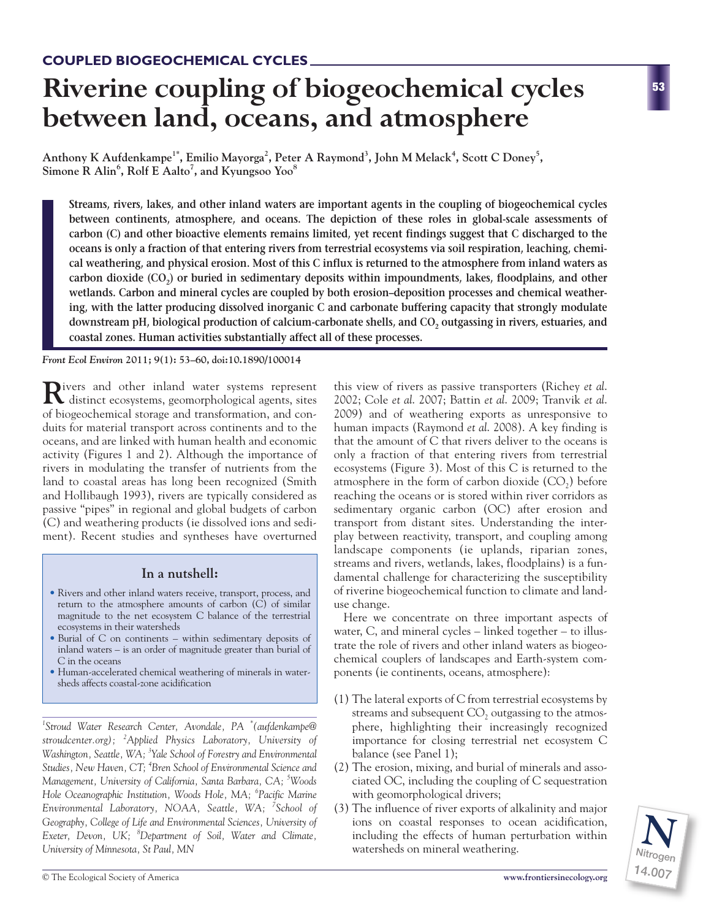# **Riverine coupling of biogeochemical cycles between land, oceans, and atmosphere**

Anthony K Aufdenkampe<sup>1\*</sup>, Emilio Mayorga<sup>2</sup>, Peter A Raymond<sup>3</sup>, John M Melack<sup>4</sup>, Scott C Doney<sup>5</sup>, **Simone R Alin<sup>6</sup> , Rolf E Aalto<sup>7</sup> , and Kyungsoo Yoo<sup>8</sup>**

**Streams, rivers, lakes, and other inland waters are important agents in the coupling of biogeochemical cycles between continents, atmosphere, and oceans. The depiction of these roles in global-scale assessments of carbon (C) and other bioactive elements remains limited, yet recent findings suggest that C discharged to the oceans is only a fraction of that entering rivers from terrestrial ecosystems via soil respiration, leaching, chemical weathering, and physical erosion. Most of this C influx is returned to the atmosphere from inland waters as** carbon dioxide (CO<sub>2</sub>) or buried in sedimentary deposits within impoundments, lakes, floodplains, and other **wetlands. Carbon and mineral cycles are coupled by both erosion–deposition processes and chemical weathering, with the latter producing dissolved inorganic C and carbonate buffering capacity that strongly modulate** downstream pH, biological production of calcium-carbonate shells, and CO<sub>2</sub> outgassing in rivers, estuaries, and **coastal zones. Human activities substantially affect all of these processes.**

*Front Ecol Environ* **2011; 9(1): 53–60, doi:10.1890/100014**

Rivers and other inland water systems represent distinct ecosystems, geomorphological agents, sites of biogeochemical storage and transformation, and conduits for material transport across continents and to the oceans, and are linked with human health and economic activity (Figures 1 and 2). Although the importance of rivers in modulating the transfer of nutrients from the land to coastal areas has long been recognized (Smith and Hollibaugh 1993), rivers are typically considered as passive "pipes" in regional and global budgets of carbon (C) and weathering products (ie dissolved ions and sediment). Recent studies and syntheses have overturned

# **In a nutshell:**

- Rivers and other inland waters receive, transport, process, and return to the atmosphere amounts of carbon (C) of similar magnitude to the net ecosystem C balance of the terrestrial ecosystems in their watersheds
- Burial of C on continents within sedimentary deposits of inland waters – is an order of magnitude greater than burial of C in the oceans
- Human-accelerated chemical weathering of minerals in watersheds affects coastal-zone acidification

*1 Stroud Water Research Center, Avondale, PA \* (aufdenkampe@ stroudcenter.org); <sup>2</sup> Applied Physics Laboratory, University of Washington, Seattle, WA; 3 Yale School of Forestry and Environmental Studies, New Haven, CT; 4 Bren School of Environmental Science and Management, University of California, Santa Barbara, CA; <sup>5</sup> Woods Hole Oceanographic Institution, Woods Hole, MA; <sup>6</sup> Pacific Marine Environmental Laboratory, NOAA, Seattle, WA; <sup>7</sup> School of Geography, College of Life and Environmental Sciences, University of Exeter, Devon, UK; <sup>8</sup> Department of Soil, Water and Climate,*

this view of rivers as passive transporters (Richey *et al*. 2002; Cole *et al*. 2007; Battin *et al*. 2009; Tranvik *et al*. 2009) and of weathering exports as unresponsive to human impacts (Raymond *et al*. 2008). A key finding is that the amount of C that rivers deliver to the oceans is only a fraction of that entering rivers from terrestrial ecosystems (Figure 3). Most of this C is returned to the atmosphere in the form of carbon dioxide  $(CO<sub>2</sub>)$  before reaching the oceans or is stored within river corridors as sedimentary organic carbon (OC) after erosion and transport from distant sites. Understanding the interplay between reactivity, transport, and coupling among landscape components (ie uplands, riparian zones, streams and rivers, wetlands, lakes, floodplains) is a fundamental challenge for characterizing the susceptibility of riverine biogeochemical function to climate and landuse change.

Here we concentrate on three important aspects of water, C, and mineral cycles – linked together – to illustrate the role of rivers and other inland waters as biogeochemical couplers of landscapes and Earth-system components (ie continents, oceans, atmosphere):

- (1) The lateral exports of C from terrestrial ecosystems by streams and subsequent  $CO<sub>2</sub>$  outgassing to the atmosphere, highlighting their increasingly recognized importance for closing terrestrial net ecosystem C balance (see Panel 1);
- (2) The erosion, mixing, and burial of minerals and associated OC, including the coupling of C sequestration with geomorphological drivers;
- (3) The influence of river exports of alkalinity and major ions on coastal responses to ocean acidification, including the effects of human perturbation within University of Minnesota, St Paul, MN **Nitrogen Constant Constant Constant Constant Constant Constant Constant Const**



**53**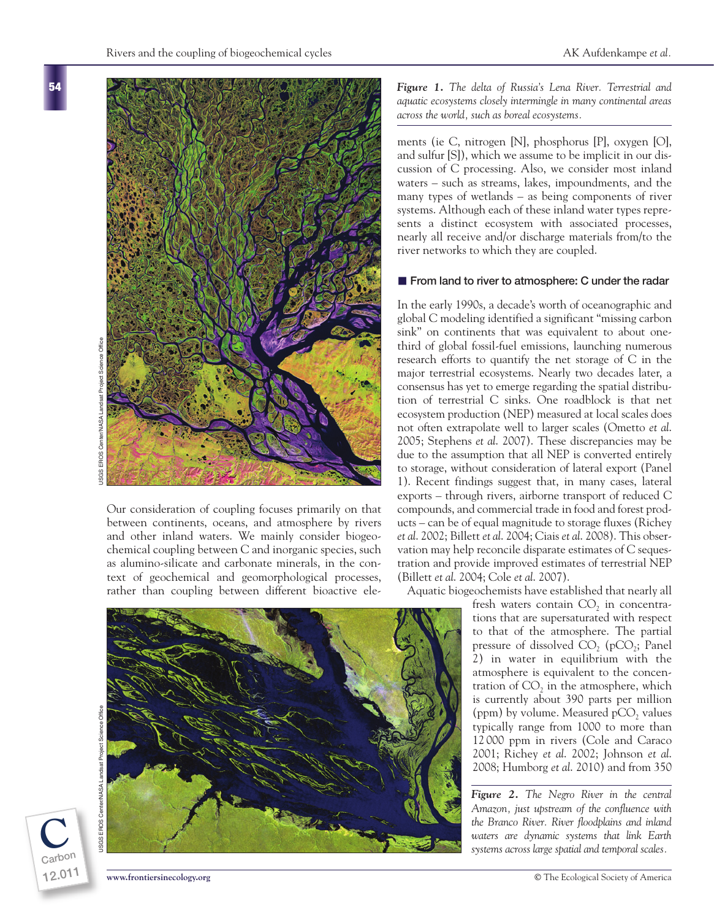**C**

**Carbon 12.011**

Our consideration of coupling focuses primarily on that between continents, oceans, and atmosphere by rivers and other inland waters. We mainly consider biogeochemical coupling between C and inorganic species, such as alumino-silicate and carbonate minerals, in the context of geochemical and geomorphological processes, rather than coupling between different bioactive ele-

*Figure 1. The delta of Russia's Lena River. Terrestrial and aquatic ecosystems closely intermingle in many continental areas across the world, such as boreal ecosystems.*

ments (ie C, nitrogen [N], phosphorus [P], oxygen [O], and sulfur [S]), which we assume to be implicit in our discussion of C processing. Also, we consider most inland waters – such as streams, lakes, impoundments, and the many types of wetlands – as being components of river systems. Although each of these inland water types represents a distinct ecosystem with associated processes, nearly all receive and/or discharge materials from/to the river networks to which they are coupled.

## **From land to river to atmosphere: C under the radar**

In the early 1990s, a decade's worth of oceanographic and global C modeling identified a significant "missing carbon sink" on continents that was equivalent to about onethird of global fossil-fuel emissions, launching numerous research efforts to quantify the net storage of C in the major terrestrial ecosystems. Nearly two decades later, a consensus has yet to emerge regarding the spatial distribution of terrestrial C sinks. One roadblock is that net ecosystem production (NEP) measured at local scales does not often extrapolate well to larger scales (Ometto *et al*. 2005; Stephens *et al*. 2007). These discrepancies may be due to the assumption that all NEP is converted entirely to storage, without consideration of lateral export (Panel 1). Recent findings suggest that, in many cases, lateral exports – through rivers, airborne transport of reduced C compounds, and commercial trade in food and forest products – can be of equal magnitude to storage fluxes (Richey *et al*. 2002; Billett *et al*. 2004; Ciais *et al*. 2008). This observation may help reconcile disparate estimates of C sequestration and provide improved estimates of terrestrial NEP (Billett *et al*. 2004; Cole *et al*. 2007).

Aquatic biogeochemists have established that nearly all

fresh waters contain  $CO<sub>2</sub>$  in concentrations that are supersaturated with respect to that of the atmosphere. The partial pressure of dissolved  $CO$ <sub>2</sub> (pCO<sub>2</sub>; Panel 2) in water in equilibrium with the atmosphere is equivalent to the concentration of  $CO<sub>2</sub>$  in the atmosphere, which is currently about 390 parts per million (ppm) by volume. Measured  $pCO<sub>2</sub>$  values typically range from 1000 to more than 12 000 ppm in rivers (Cole and Caraco 2001; Richey *et al*. 2002; Johnson *et al*. 2008; Humborg *et al*. 2010) and from 350

*Figure 2. The Negro River in the central Amazon, just upstream of the confluence with the Branco River. River floodplains and inland waters are dynamic systems that link Earth systems across large spatial and temporal scales.*

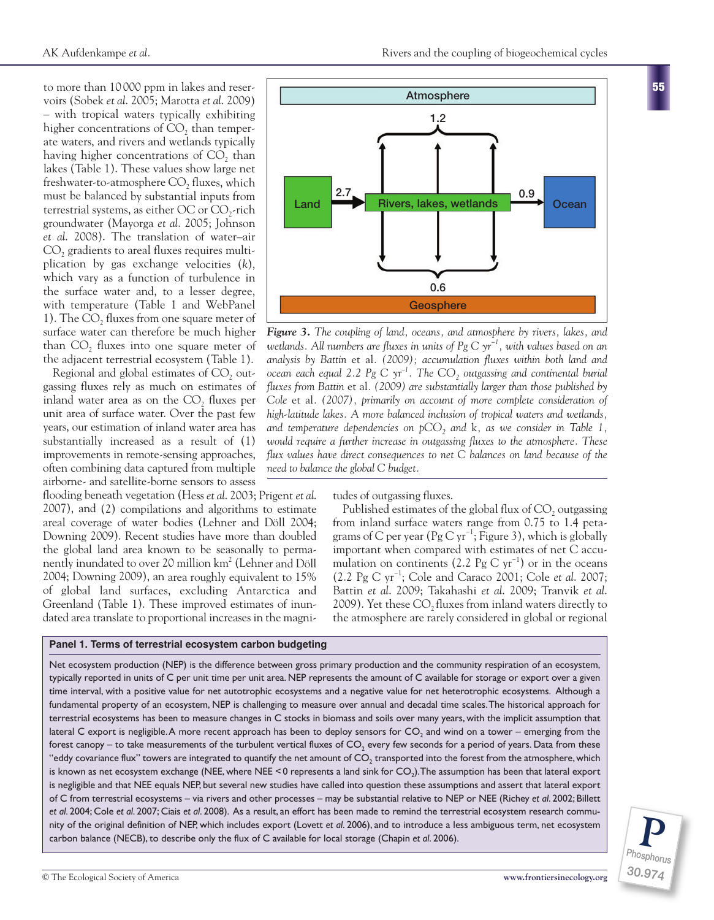to more than 10 000 ppm in lakes and reservoirs (Sobek *et al*. 2005; Marotta *et al*. 2009) – with tropical waters typically exhibiting higher concentrations of CO<sub>2</sub> than temperate waters, and rivers and wetlands typically having higher concentrations of  $CO<sub>2</sub>$  than lakes (Table 1). These values show large net freshwater-to-atmosphere CO<sub>2</sub> fluxes, which must be balanced by substantial inputs from terrestrial systems, as either OC or  $CO_2$ -rich groundwater (Mayorga *et al*. 2005; Johnson *et al*. 2008). The translation of water–air CO<sub>2</sub> gradients to areal fluxes requires multi<sup>p</sup>lication by gas exchange velocities (*k*), which vary as a function of turbulence in the surface water and, to a lesser degree, with temperature (Table 1 and WebPanel 1). The  $CO<sub>2</sub>$  fluxes from one square meter of surface water can therefore be much higher than CO<sub>2</sub> fluxes into one square meter of the adjacent terrestrial ecosystem (Table 1).

Regional and global estimates of CO<sub>2</sub> outgassing fluxes rely as much on estimates of inland water area as on the  $CO<sub>2</sub>$  fluxes per unit area of surface water. Over the past few years, our estimation of inland water area has substantially increased as a result of (1) improvements in remote-sensing approaches, often combining data captured from multiple airborne- and satellite-borne sensors to assess

flooding beneath vegetation (Hess *et al*. 2003; Prigent *et al*. 2007), and (2) compilations and algorithms to estimate areal coverage of water bodies (Lehner and Döll 2004; Downing 2009). Recent studies have more than doubled the global land area known to be seasonally to permanently inundated to over 20 million km<sup>2</sup> (Lehner and Döll 2004; Downing 2009), an area roughly equivalent to 15% of global land surfaces, excluding Antarctica and Greenland (Table 1). These improved estimates of inundated area translate to proportional increases in the magni-

**Panel 1. Terms of terrestrial ecosystem carbon budgeting**



*Figure 3. The coupling of land, oceans, and atmosphere by rivers, lakes, and wetlands. All numbers are fluxes in units of Pg C yr−1, with values based on an analysis by Battin* et al*. (2009); accumulation fluxes within both land and ocean each equal 2.2 Pg C yr<sup>-1</sup>. The CO<sub>2</sub> outgassing and continental burial fluxes from Battin* et al*. (2009) are substantially larger than those published by Cole* et al*. (2007), primarily on account of more complete consideration of high-latitude lakes. A more balanced inclusion of tropical waters and wetlands, and temperature dependencies on pCO<sub>2</sub> and k, as we consider in Table 1, would require a further increase in outgassing fluxes to the atmosphere. These flux values have direct consequences to net C balances on land because of the need to balance the global C budget.*

tudes of outgassing fluxes.

Published estimates of the global flux of  $CO<sub>2</sub>$  outgassing from inland surface waters range from 0.75 to 1.4 petagrams of C per year (Pg C yr<sup>-1</sup>; Figure 3), which is globally important when compared with estimates of net C accumulation on continents (2.2 Pg C  $yr^{-1}$ ) or in the oceans (2.2 Pg C yr−1; Cole and Caraco 2001; Cole *et al*. 2007; Battin *et al*. 2009; Takahashi *et al*. 2009; Tranvik *et al*. 2009). Yet these CO<sub>2</sub> fluxes from inland waters directly to the atmosphere are rarely considered in global or regional

Net ecosystem production (NEP) is the difference between gross primary production and the community respiration of an ecosystem, typically reported in units of C per unit time per unit area. NEP represents the amount of C available for storage or export over a given time interval, with a positive value for net autotrophic ecosystems and a negative value for net heterotrophic ecosystems. Although a fundamental property of an ecosystem, NEP is challenging to measure over annual and decadal time scales. The historical approach for terrestrial ecosystems has been to measure changes in C stocks in biomass and soils over many years, with the implicit assumption that lateral C export is negligible. A more recent approach has been to deploy sensors for CO<sub>2</sub> and wind on a tower – emerging from the forest canopy – to take measurements of the turbulent vertical fluxes of  $CO$ , every few seconds for a period of years. Data from these "eddy covariance flux" towers are integrated to quantify the net amount of CO<sub>2</sub> transported into the forest from the atmosphere, which is known as net ecosystem exchange (NEE, where NEE < 0 represents a land sink for CO<sub>2</sub>). The assumption has been that lateral export is negligible and that NEE equals NEP, but several new studies have called into question these assumptions and assert that lateral export of C from terrestrial ecosystems – via rivers and other processes – may be substantial relative to NEP or NEE (Richey *et al*. 2002; Billett *et al*. 2004; Cole *et al*. 2007; Ciais *et al*. 2008). As a result, an effort has been made to remind the terrestrial ecosystem research community of the original definition of NEP, which includes export (Lovett *et al*. 2006), and to introduce a less ambiguous term, net ecosystem carbon balance (NECB), to describe only the flux of C available for local storage (Chapin *et al*. 2006).

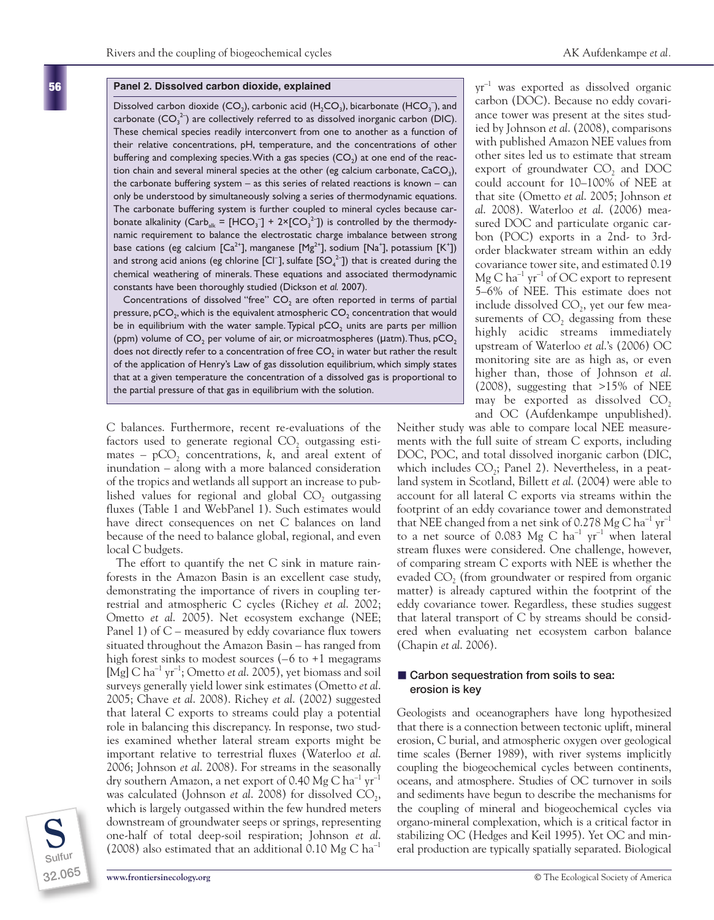#### **Panel 2. Dissolved carbon dioxide, explained**

Dissolved carbon dioxide  $(CO_2)$ , carbonic acid  $(H_2CO_3)$ , bicarbonate  $(HCO_3^-)$ , and carbonate  $(CO_3^2)$  are collectively referred to as dissolved inorganic carbon (DIC). These chemical species readily interconvert from one to another as a function of their relative concentrations, pH, temperature, and the concentrations of other buffering and complexing species. With a gas species  $(CO<sub>2</sub>)$  at one end of the reaction chain and several mineral species at the other (eg calcium carbonate,  $CaCO<sub>3</sub>$ ), the carbonate buffering system  $-$  as this series of related reactions is known  $-$  can only be understood by simultaneously solving a series of thermodynamic equations. The carbonate buffering system is further coupled to mineral cycles because carbonate alkalinity (Carb<sub>alk</sub> = [HCO<sub>3</sub><sup>-</sup>] + 2×[CO<sub>3</sub><sup>2-</sup>]) is controlled by the thermodynamic requirement to balance the electrostatic charge imbalance between strong base cations (eg calcium [Ca $^{2+}$ ], manganese [Mg $^{2+}$ ], sodium [Na $^+$ ], potassium [K $^+$ ]) and strong acid anions (eg chlorine [CI<sup>-</sup>], sulfate [SO<sub>4</sub><sup>2</sup>]) that is created during the chemical weathering of minerals. These equations and associated thermodynamic constants have been thoroughly studied (Dickson *et al.* 2007).

Concentrations of dissolved "free"  $CO<sub>2</sub>$  are often reported in terms of partial pressure,  $pCO<sub>2</sub>$ , which is the equivalent atmospheric  $CO<sub>2</sub>$  concentration that would be in equilibrium with the water sample. Typical  $pCO<sub>2</sub>$  units are parts per million (ppm) volume of  $CO<sub>2</sub>$  per volume of air, or microatmospheres ( $\mu$ atm). Thus, pCO<sub>2</sub> does not directly refer to a concentration of free  $CO<sub>2</sub>$  in water but rather the result of the application of Henry's Law of gas dissolution equilibrium, which simply states that at a given temperature the concentration of a dissolved gas is proportional to the partial pressure of that gas in equilibrium with the solution.

C balances. Furthermore, recent re-evaluations of the factors used to generate regional  $CO<sub>2</sub>$  outgassing estimates –  $pCO<sub>2</sub>$  concentrations, *k*, and areal extent of inundation – along with a more balanced consideration of the tropics and wetlands all support an increase to published values for regional and global  $CO<sub>2</sub>$  outgassing fluxes (Table 1 and WebPanel 1). Such estimates would have direct consequences on net C balances on land because of the need to balance global, regional, and even local C budgets.

The effort to quantify the net C sink in mature rainforests in the Amazon Basin is an excellent case study, demonstrating the importance of rivers in coupling terrestrial and atmospheric C cycles (Richey *et al*. 2002; Ometto *et al*. 2005). Net ecosystem exchange (NEE; Panel 1) of  $C$  – measured by eddy covariance flux towers situated throughout the Amazon Basin – has ranged from high forest sinks to modest sources  $(-6 \text{ to } +1)$  megagrams [Mg] C ha<sup>-1</sup> yr<sup>-1</sup>; Ometto *et al.* 2005), yet biomass and soil surveys generally yield lower sink estimates (Ometto *et al*. 2005; Chave *et al*. 2008). Richey *et al*. (2002) suggested that lateral C exports to streams could play a potential role in balancing this discrepancy. In response, two studies examined whether lateral stream exports might be important relative to terrestrial fluxes (Waterloo *et al*. 2006; Johnson *et al*. 2008). For streams in the seasonally dry southern Amazon, a net export of 0.40 Mg C  $\rm{ha^{\text{-}1}\,yr^{\text{-}1}}$ was calculated (Johnson *et al.* 2008) for dissolved CO<sub>2</sub>, which is largely outgassed within the few hundred meters downstream of groundwater seeps or springs, representing one-half of total deep-soil respiration; Johnson *et al*. (2008) also estimated that an additional 0.10 Mg C ha<sup>-1</sup>



**56**

yr –1 was exported as dissolved organic carbon (DOC). Because no eddy covariance tower was present at the sites studied by Johnson *et al*. (2008), comparisons with published Amazon NEE values from other sites led us to estimate that stream export of groundwater CO<sub>2</sub> and DOC could account for 10–100% of NEE at that site (Ometto *et al*. 2005; Johnson *et al*. 2008). Waterloo *et al*. (2006) measured DOC and particulate organic carbon (POC) exports in a 2nd- to 3rdorder blackwater stream within an eddy covariance tower site, and estimated 0.19  $Mg C ha^{-1} yr^{-1}$  of OC export to represent 5–6% of NEE. This estimate does not include dissolved  $CO<sub>2</sub>$ , yet our few measurements of  $CO<sub>2</sub>$  degassing from these highly acidic streams immediately upstream of Waterloo *et al*.'s (2006) OC monitoring site are as high as, or even higher than, those of Johnson *et al*. (2008), suggesting that >15% of NEE may be exported as dissolved  $CO<sub>2</sub>$ and OC (Aufdenkampe unpublished).

Neither study was able to compare local NEE measurements with the full suite of stream C exports, including DOC, POC, and total dissolved inorganic carbon (DIC, which includes  $CO<sub>2</sub>$ ; Panel 2). Nevertheless, in a peatland system in Scotland, Billett *et al*. (2004) were able to account for all lateral C exports via streams within the footprint of an eddy covariance tower and demonstrated that NEE changed from a net sink of 0.278 Mg C ha<sup>-1</sup>  $\text{yr}^{-1}$ to a net source of 0.083 Mg C  $ha^{-1}$  yr<sup>-1</sup> when lateral stream fluxes were considered. One challenge, however, of comparing stream C exports with NEE is whether the evaded  $CO<sub>2</sub>$  (from groundwater or respired from organic matter) is already captured within the footprint of the eddy covariance tower. Regardless, these studies suggest that lateral transport of C by streams should be considered when evaluating net ecosystem carbon balance (Chapin *et al*. 2006).

#### ■ Carbon sequestration from soils to sea: **erosion is key**

Geologists and oceanographers have long hypothesized that there is a connection between tectonic uplift, mineral erosion, C burial, and atmospheric oxygen over geological time scales (Berner 1989), with river systems implicitly coupling the biogeochemical cycles between continents, oceans, and atmosphere. Studies of OC turnover in soils and sediments have begun to describe the mechanisms for the coupling of mineral and biogeochemical cycles via organo-mineral complexation, which is a critical factor in stabilizing OC (Hedges and Keil 1995). Yet OC and mineral production are typically spatially separated. Biological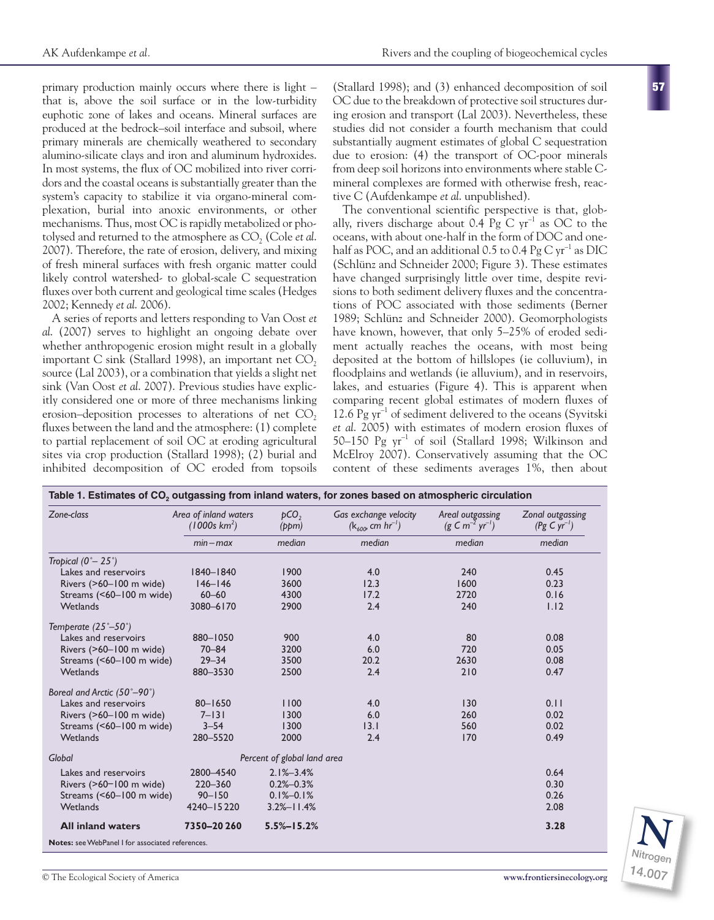primary production mainly occurs where there is light – that is, above the soil surface or in the low-turbidity euphotic zone of lakes and oceans. Mineral surfaces are produced at the bedrock–soil interface and subsoil, where primary minerals are chemically weathered to secondary alumino-silicate clays and iron and aluminum hydroxides. In most systems, the flux of OC mobilized into river corridors and the coastal oceans is substantially greater than the system's capacity to stabilize it via organo-mineral complexation, burial into anoxic environments, or other mechanisms. Thus, most OC is rapidly metabolized or photolysed and returned to the atmosphere as CO<sub>2</sub> (Cole *et al.*) 2007). Therefore, the rate of erosion, delivery, and mixing of fresh mineral surfaces with fresh organic matter could likely control watershed- to global-scale C sequestration fluxes over both current and geological time scales (Hedges 2002; Kennedy *et al*. 2006).

A series of reports and letters responding to Van Oost *et al*. (2007) serves to highlight an ongoing debate over whether anthropogenic erosion might result in a globally important C sink (Stallard 1998), an important net  $CO<sub>2</sub>$ source (Lal 2003), or a combination that yields a slight net sink (Van Oost *et al*. 2007). Previous studies have explicitly considered one or more of three mechanisms linking erosion–deposition processes to alterations of net  $CO<sub>2</sub>$ fluxes between the land and the atmosphere: (1) complete to partial replacement of soil OC at eroding agricultural sites via crop production (Stallard 1998); (2) burial and inhibited decomposition of OC eroded from topsoils

(Stallard 1998); and (3) enhanced decomposition of soil OC due to the breakdown of protective soil structures during erosion and transport (Lal 2003). Nevertheless, these studies did not consider a fourth mechanism that could substantially augment estimates of global C sequestration due to erosion: (4) the transport of OC-poor minerals from deep soil horizons into environments where stable Cmineral complexes are formed with otherwise fresh, reactive C (Aufdenkampe *et al*. unpublished).

The conventional scientific perspective is that, globally, rivers discharge about 0.4 Pg C  $yr^{-1}$  as OC to the oceans, with about one-half in the form of DOC and onehalf as POC, and an additional 0.5 to 0.4 Pg C  $\rm yr^{-1}$  as DIC (Schlünz and Schneider 2000; Figure 3). These estimates have changed surprisingly little over time, despite revisions to both sediment delivery fluxes and the concentrations of POC associated with those sediments (Berner 1989; Schlünz and Schneider 2000). Geomorphologists have known, however, that only 5–25% of eroded sediment actually reaches the oceans, with most being deposited at the bottom of hillslopes (ie colluvium), in floodplains and wetlands (ie alluvium), and in reservoirs, lakes, and estuaries (Figure 4). This is apparent when comparing recent global estimates of modern fluxes of 12.6 Pg  $yr^{-1}$  of sediment delivered to the oceans (Syvitski *et al*. 2005) with estimates of modern erosion fluxes of 50–150 Pg yr–1 of soil (Stallard 1998; Wilkinson and McElroy 2007). Conservatively assuming that the OC content of these sediments averages 1%, then about

| Zone-class                              | Area of inland waters<br>(1000s km <sup>2</sup> )<br>$min - max$ | pCO <sub>2</sub><br>(ppm)<br>median | Gas exchange velocity<br>$(k_{600}$ cm hr <sup>-1</sup> )<br>median | Areal outgassing<br>$(g \, \text{C} \, m^{-2} \, \text{yr}^{-1})$<br>median | Zonal outgassing<br>$(Pg C yr^{-1})$<br>median |
|-----------------------------------------|------------------------------------------------------------------|-------------------------------------|---------------------------------------------------------------------|-----------------------------------------------------------------------------|------------------------------------------------|
|                                         |                                                                  |                                     |                                                                     |                                                                             |                                                |
| Lakes and reservoirs                    | 1840-1840                                                        | 1900                                | 4.0                                                                 | 240                                                                         | 0.45                                           |
| Rivers (>60-100 m wide)                 | $146 - 146$                                                      | 3600                                | 12.3                                                                | 1600                                                                        | 0.23                                           |
| Streams (<60-100 m wide)                | $60 - 60$                                                        | 4300                                | 17.2                                                                | 2720                                                                        | 0.16                                           |
| <b>Wetlands</b>                         | 3080-6170                                                        | 2900                                | 2.4                                                                 | 240                                                                         | 1.12                                           |
| Temperate $(25^{\degree}-50^{\degree})$ |                                                                  |                                     |                                                                     |                                                                             |                                                |
| Lakes and reservoirs                    | 880-1050                                                         | 900                                 | 4.0                                                                 | 80                                                                          | 0.08                                           |
| Rivers (>60-100 m wide)                 | $70 - 84$                                                        | 3200                                | 6.0                                                                 | 720                                                                         | 0.05                                           |
| Streams (<60-100 m wide)                | $29 - 34$                                                        | 3500                                | 20.2                                                                | 2630                                                                        | 0.08                                           |
| <b>Wetlands</b>                         | 880-3530                                                         | 2500                                | 2.4                                                                 | 210                                                                         | 0.47                                           |
| Boreal and Arctic (50°-90°)             |                                                                  |                                     |                                                                     |                                                                             |                                                |
| Lakes and reservoirs                    | $80 - 1650$                                                      | 1100                                | 4.0                                                                 | 130                                                                         | 0.11                                           |
| Rivers (>60-100 m wide)                 | $7 - 131$                                                        | 1300                                | 6.0                                                                 | 260                                                                         | 0.02                                           |
| Streams (<60-100 m wide)                | $3 - 54$                                                         | 1300                                | 13.1                                                                | 560                                                                         | 0.02                                           |
| Wetlands                                | 280-5520                                                         | 2000                                | 2.4                                                                 | 170                                                                         | 0.49                                           |
| Global                                  | Percent of global land area                                      |                                     |                                                                     |                                                                             |                                                |
| Lakes and reservoirs                    | 2800-4540                                                        | $2.1\% - 3.4\%$                     |                                                                     |                                                                             | 0.64                                           |
| Rivers (>60-100 m wide)                 | 220-360                                                          | $0.2% - 0.3%$                       |                                                                     |                                                                             | 0.30                                           |
| Streams (<60-100 m wide)                | $90 - 150$                                                       | $0.1\% - 0.1\%$                     |                                                                     |                                                                             | 0.26                                           |
| <b>Wetlands</b>                         | 4240-15220                                                       | $3.2% - 11.4%$                      |                                                                     |                                                                             | 2.08                                           |
| <b>All inland waters</b>                | 7350-20260                                                       | $5.5\% - 15.2\%$                    |                                                                     |                                                                             | 3.28                                           |



**57**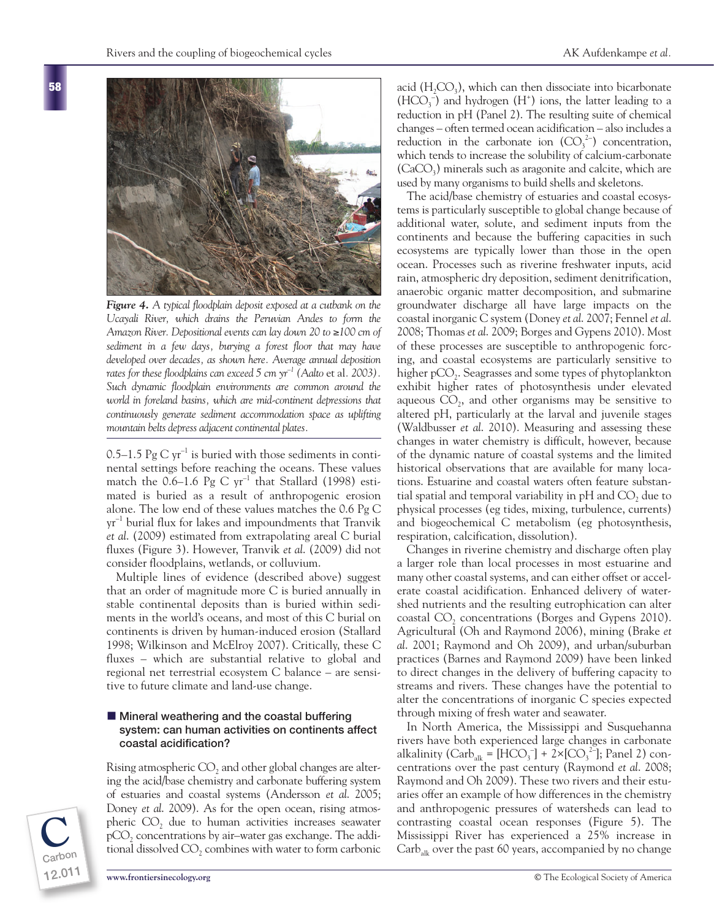

*Figure 4. A typical floodplain deposit exposed at a cutbank on the Ucayali River, which drains the Peruvian Andes to form the Amazon River. Depositional events can lay down 20 to* ≥*100 cm of sediment in a few days, burying a forest floor that may have developed over decades, as shown here. Average annual deposition rates for these floodplains can exceed 5 cm yr<sup>-1</sup> (Aalto et al. 2003). Such dynamic floodplain environments are common around the world in foreland basins, which are mid-continent depressions that continuously generate sediment accommodation space as uplifting mountain belts depress adjacent continental plates.*

0.5–1.5 Pg C  $yr^{-1}$  is buried with those sediments in continental settings before reaching the oceans. These values match the 0.6–1.6 Pg C  $yr^{-1}$  that Stallard (1998) estimated is buried as a result of anthropogenic erosion alone. The low end of these values matches the 0.6 Pg C  $\rm{yr}^{-1}$  burial flux for lakes and impoundments that Tranvik *et al*. (2009) estimated from extrapolating areal C burial fluxes (Figure 3). However, Tranvik *et al*. (2009) did not consider floodplains, wetlands, or colluvium.

Multiple lines of evidence (described above) suggest that an order of magnitude more C is buried annually in stable continental deposits than is buried within sediments in the world's oceans, and most of this C burial on continents is driven by human-induced erosion (Stallard 1998; Wilkinson and McElroy 2007). Critically, these C fluxes – which are substantial relative to global and regional net terrestrial ecosystem C balance – are sensitive to future climate and land-use change.

#### $\blacksquare$  Mineral weathering and the coastal buffering **system: can human activities on continents affect coastal acidification?**

Rising atmospheric CO<sub>2</sub> and other global changes are altering the acid/base chemistry and carbonate buffering system of estuaries and coastal systems (Andersson *et al*. 2005; Doney *et al*. 2009). As for the open ocean, rising atmospheric  $CO<sub>2</sub>$  due to human activities increases seawater  $pCO<sub>2</sub>$  concentrations by air–water gas exchange. The additional dissolved  $CO<sub>2</sub>$  combines with water to form carbonic

acid  $(H_2CO_3)$ , which can then dissociate into bicarbonate  $(HCO<sub>3</sub><sup>-</sup>)$  and hydrogen  $(H<sup>+</sup>)$  ions, the latter leading to a reduction in pH (Panel 2). The resulting suite of chemical changes – often termed ocean acidification – also includes a reduction in the carbonate ion  $(CO_3^2)$  concentration, which tends to increase the solubility of calcium-carbonate  $(CaCO<sub>3</sub>)$  minerals such as aragonite and calcite, which are used by many organisms to build shells and skeletons.

The acid/base chemistry of estuaries and coastal ecosystems is particularly susceptible to global change because of additional water, solute, and sediment inputs from the continents and because the buffering capacities in such ecosystems are typically lower than those in the open ocean. Processes such as riverine freshwater inputs, acid rain, atmospheric dry deposition, sediment denitrification, anaerobic organic matter decomposition, and submarine groundwater discharge all have large impacts on the coastal inorganic C system (Doney *et al*. 2007; Fennel *et al*. 2008; Thomas *et al*. 2009; Borges and Gypens 2010). Most of these processes are susceptible to anthropogenic forcing, and coastal ecosystems are particularly sensitive to higher  $pCO<sub>2</sub>$ . Seagrasses and some types of phytoplankton exhibit higher rates of photosynthesis under elevated aqueous  $CO<sub>2</sub>$ , and other organisms may be sensitive to altered pH, particularly at the larval and juvenile stages (Waldbusser *et al*. 2010). Measuring and assessing these changes in water chemistry is difficult, however, because of the dynamic nature of coastal systems and the limited historical observations that are available for many locations. Estuarine and coastal waters often feature substantial spatial and temporal variability in  $pH$  and  $CO<sub>2</sub>$  due to physical processes (eg tides, mixing, turbulence, currents) and biogeochemical C metabolism (eg photosynthesis, respiration, calcification, dissolution).

Changes in riverine chemistry and discharge often play a larger role than local processes in most estuarine and many other coastal systems, and can either offset or accelerate coastal acidification. Enhanced delivery of watershed nutrients and the resulting eutrophication can alter coastal  $CO<sub>2</sub>$  concentrations (Borges and Gypens 2010). Agricultural (Oh and Raymond 2006), mining (Brake *et al*. 2001; Raymond and Oh 2009), and urban/suburban practices (Barnes and Raymond 2009) have been linked to direct changes in the delivery of buffering capacity to streams and rivers. These changes have the potential to alter the concentrations of inorganic C species expected through mixing of fresh water and seawater.

In North America, the Mississippi and Susquehanna rivers have both experienced large changes in carbonate alkalinity (Carb<sub>alk</sub> = [HCO<sub>3</sub><sup>-</sup>] + 2×[CO<sub>3</sub><sup>2-</sup>]; Panel 2) concentrations over the past century (Raymond *et al*. 2008; Raymond and Oh 2009). These two rivers and their estuaries offer an example of how differences in the chemistry and anthropogenic pressures of watersheds can lead to contrasting coastal ocean responses (Figure 5). The Mississippi River has experienced a 25% increase in  $\text{Carb}_{\text{alk}}$  over the past 60 years, accompanied by no change



**Carbon**

**12.011**

**C**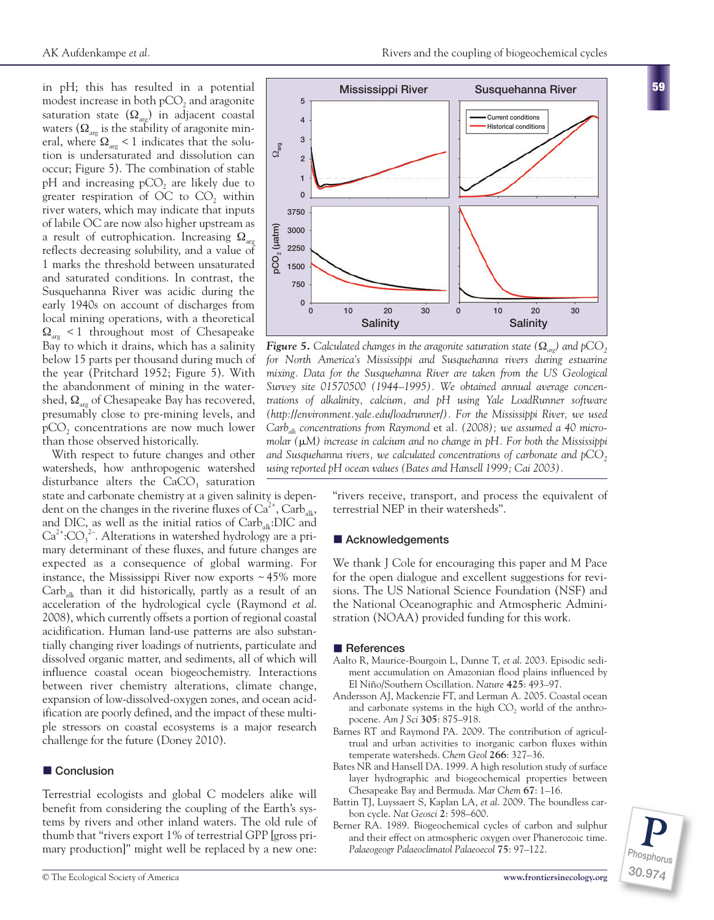in pH; this has resulted in a potential modest increase in both pCO<sub>2</sub> and aragonite saturation state  $(\Omega_{\text{arg}})$  in adjacent coastal waters  $(\Omega_{\text{arg}})$  is the stability of aragonite mineral, where  $\Omega_{\text{arc}}$  < 1 indicates that the solution is undersaturated and dissolution can occur; Figure 5). The combination of stable pH and increasing  $pCO$ , are likely due to greater respiration of OC to  $CO<sub>2</sub>$  within river waters, which may indicate that inputs of labile OC are now also higher upstream as a result of eutrophication. Increasing  $\Omega_{\text{arc}}$ reflects decreasing solubility, and a value of 1 marks the threshold between unsaturated and saturated conditions. In contrast, the Susquehanna River was acidic during the early 1940s on account of discharges from local mining operations, with a theoretical  $\Omega_{\text{arc}}$  < 1 throughout most of Chesapeake Bay to which it drains, which has a salinity below 15 parts per thousand during much of the year (Pritchard 1952; Figure 5). With the abandonment of mining in the watershed,  $\Omega_{\text{arc}}$  of Chesapeake Bay has recovered, presumably close to pre-mining levels, and pCO<sub>2</sub> concentrations are now much lower than those observed historically.

With respect to future changes and other watersheds, how anthropogenic watershed disturbance alters the  $CaCO<sub>3</sub>$  saturation

state and carbonate chemistry at a given salinity is dependent on the changes in the riverine fluxes of  $Ca^{2+}$ , Carb<sub>alk</sub>, and DIC, as well as the initial ratios of  $\text{Carb}_{\text{alt}}$ :DIC and  $Ca^{2+}$ : $CO_3$ <sup>2</sup>. Alterations in watershed hydrology are a primary determinant of these fluxes, and future changes are expected as a consequence of global warming. For instance, the Mississippi River now exports  $\sim$  45% more  $Carb<sub>alk</sub>$  than it did historically, partly as a result of an acceleration of the hydrological cycle (Raymond *et al*. 2008), which currently offsets a portion of regional coastal acidification. Human land-use patterns are also substantially changing river loadings of nutrients, particulate and dissolved organic matter, and sediments, all of which will influence coastal ocean biogeochemistry. Interactions between river chemistry alterations, climate change, expansion of low-dissolved-oxygen zones, and ocean acidification are poorly defined, and the impact of these multiple stressors on coastal ecosystems is a major research challenge for the future (Doney 2010).

### **n** Conclusion

Terrestrial ecologists and global C modelers alike will benefit from considering the coupling of the Earth's systems by rivers and other inland waters. The old rule of thumb that "rivers export 1% of terrestrial GPP [gross primary production]" might well be replaced by a new one:



*<i>Figure* **5.** Calculated changes in the aragonite saturation state ( $Ω_{\text{av}}$ ) and pCO<sub>2</sub> *for North America's Mississippi and Susquehanna rivers during estuarine mixing. Data for the Susquehanna River are taken from the US Geological Survey site 01570500 (1944–1995). We obtained annual average concentrations of alkalinity, calcium, and pH using Yale LoadRunner software (http://environment.yale.edu/loadrunner/). For the Mississippi River, we used Carbalk concentrations from Raymond* et al*. (2008); we assumed a 40 micromolar (*-*M) increase in calcium and no change in pH. For both the Mississippi* and Susquehanna rivers, we calculated concentrations of carbonate and pCO<sub>2</sub> *using reported pH ocean values (Bates and Hansell 1999; Cai 2003).*

"rivers receive, transport, and process the equivalent of terrestrial NEP in their watersheds".

#### ■ Acknowledgements

We thank J Cole for encouraging this paper and M Pace for the open dialogue and excellent suggestions for revisions. The US National Science Foundation (NSF) and the National Oceanographic and Atmospheric Administration (NOAA) provided funding for this work.

#### ■ References

- Aalto R, Maurice-Bourgoin L, Dunne T, *et al*. 2003. Episodic sediment accumulation on Amazonian flood plains influenced by El Niño/Southern Oscillation. *Nature* **425**: 493–97.
- Andersson AJ, Mackenzie FT, and Lerman A. 2005. Coastal ocean and carbonate systems in the high CO<sub>2</sub> world of the anthropocene. *Am J Sci* **305**: 875–918.
- Barnes RT and Raymond PA. 2009. The contribution of agricultrual and urban activities to inorganic carbon fluxes within temperate watersheds. *Chem Geol* **266**: 327–36.
- Bates NR and Hansell DA. 1999. A high resolution study of surface layer hydrographic and biogeochemical properties between Chesapeake Bay and Bermuda. *Mar Chem* **67**: 1–16.
- Battin TJ, Luyssaert S, Kaplan LA, *et al*. 2009. The boundless carbon cycle. *Nat Geosci* **2**: 598–600.
- Berner RA. 1989. Biogeochemical cycles of carbon and sulphur and their effect on atmospheric oxygen over Phanerozoic time. *Palaeogeogr Palaeoclimatol Palaeoecol* **75**: 97–122.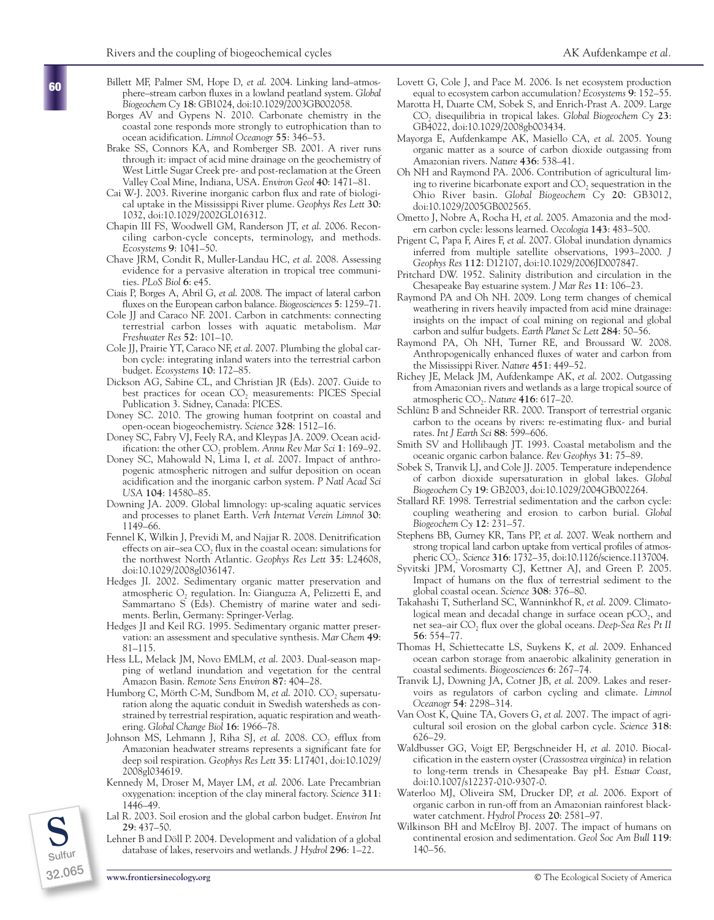- Billett MF, Palmer SM, Hope D, *et al*. 2004. Linking land–atmosphere–stream carbon fluxes in a lowland peatland system. *Global Biogeochem Cy* **18**: GB1024, doi:10.1029/2003GB002058.
- Borges AV and Gypens N. 2010. Carbonate chemistry in the coastal zone responds more strongly to eutrophication than to ocean acidification. *Limnol Oceanogr* **55**: 346–53.
- Brake SS, Connors KA, and Romberger SB. 2001. A river runs through it: impact of acid mine drainage on the geochemistry of West Little Sugar Creek pre- and post-reclamation at the Green Valley Coal Mine, Indiana, USA. *Environ Geol* **40**: 1471–81.
- Cai W-J. 2003. Riverine inorganic carbon flux and rate of biological uptake in the Mississippi River plume. *Geophys Res Lett* **30**: 1032, doi:10.1029/2002GL016312.
- Chapin III FS, Woodwell GM, Randerson JT, *et al*. 2006. Reconciling carbon-cycle concepts, terminology, and methods. *Ecosystems* **9**: 1041–50.
- Chave JRM, Condit R, Muller-Landau HC, *et al*. 2008. Assessing evidence for a pervasive alteration in tropical tree communities. *PLoS Biol* **6**: e45.
- Ciais P, Borges A, Abril G, *et al*. 2008. The impact of lateral carbon fluxes on the European carbon balance. *Biogeosciences* **5**: 1259–71.
- Cole JJ and Caraco NF. 2001. Carbon in catchments: connecting terrestrial carbon losses with aquatic metabolism. *Mar Freshwater Res* **52**: 101–10.
- Cole JJ, Prairie YT, Caraco NF, *et al*. 2007. Plumbing the global carbon cycle: integrating inland waters into the terrestrial carbon budget. *Ecosystems* **10**: 172–85.
- Dickson AG, Sabine CL, and Christian JR (Eds). 2007. Guide to best practices for ocean CO<sub>2</sub> measurements: PICES Special Publication 3. Sidney, Canada: PICES.
- Doney SC. 2010. The growing human footprint on coastal and open-ocean biogeochemistry. *Science* **328**: 1512–16.
- Doney SC, Fabry VJ, Feely RA, and Kleypas JA. 2009. Ocean acidification: the other CO<sub>2</sub> problem. Annu Rev Mar Sci 1: 169-92.
- Doney SC, Mahowald N, Lima I, *et al*. 2007. Impact of anthropogenic atmospheric nitrogen and sulfur deposition on ocean acidification and the inorganic carbon system. *P Natl Acad Sci USA* **104**: 14580–85.
- Downing JA. 2009. Global limnology: up-scaling aquatic services and processes to planet Earth. *Verh Internat Verein Limnol* **30**: 1149–66.
- Fennel K, Wilkin J, Previdi M, and Najjar R. 2008. Denitrification effects on air-sea  $CO$ , flux in the coastal ocean: simulations for the northwest North Atlantic. *Geophys Res Lett* **35**: L24608, doi:10.1029/2008gl036147.
- Hedges JI. 2002. Sedimentary organic matter preservation and atmospheric O<sub>2</sub> regulation. In: Gianguzza A, Pelizzetti E, and Sammartano S (Eds). Chemistry of marine water and sediments. Berlin, Germany: Springer-Verlag.
- Hedges JI and Keil RG. 1995. Sedimentary organic matter preservation: an assessment and speculative synthesis. *Mar Chem* **49**: 81–115.
- Hess LL, Melack JM, Novo EMLM, *et al*. 2003. Dual-season mapping of wetland inundation and vegetation for the central Amazon Basin. *Remote Sens Environ* **87**: 404–28.
- Humborg C, Mörth C-M, Sundbom M, *et al.* 2010. CO<sub>2</sub> supersaturation along the aquatic conduit in Swedish watersheds as constrained by terrestrial respiration, aquatic respiration and weathering. *Global Change Biol* **16**: 1966–78.
- Johnson MS, Lehmann J, Riha SJ, et al. 2008. CO<sub>2</sub> efflux from Amazonian headwater streams represents a significant fate for deep soil respiration. *Geophys Res Lett* **35**: L17401, doi:10.1029/ 2008gl034619.
- Kennedy M, Droser M, Mayer LM, *et al*. 2006. Late Precambrian oxygenation: inception of the clay mineral factory. *Science* **311**: 1446–49.
- Lal R. 2003. Soil erosion and the global carbon budget. *Environ Int* **29**: 437–50.
- Lehner B and Döll P. 2004. Development and validation of a global database of lakes, reservoirs and wetlands. *J Hydrol* **296**: 1–22. 140–56. **Sulfur**
- Lovett G, Cole J, and Pace M. 2006. Is net ecosystem production equal to ecosystem carbon accumulation? *Ecosystems* **9**: 152–55.
- Marotta H, Duarte CM, Sobek S, and Enrich-Prast A. 2009. Large CO2 disequilibria in tropical lakes. *Global Biogeochem Cy* **23**: GB4022, doi:10.1029/2008gb003434.
- Mayorga E, Aufdenkampe AK, Masiello CA, *et al*. 2005. Young organic matter as a source of carbon dioxide outgassing from Amazonian rivers. *Nature* **436**: 538–41.
- Oh NH and Raymond PA. 2006. Contribution of agricultural liming to riverine bicarbonate export and  $CO<sub>2</sub>$  sequestration in the Ohio River basin. *Global Biogeochem Cy* **20**: GB3012, doi:10.1029/2005GB002565.
- Ometto J, Nobre A, Rocha H, *et al*. 2005. Amazonia and the modern carbon cycle: lessons learned. *Oecologia* **143**: 483–500.
- Prigent C, Papa F, Aires F, *et al*. 2007. Global inundation dynamics inferred from multiple satellite observations, 1993–2000. *J Geophys Res* **112**: D12107, doi:10.1029/2006JD007847.
- Pritchard DW. 1952. Salinity distribution and circulation in the Chesapeake Bay estuarine system. *J Mar Res* **11**: 106–23.
- Raymond PA and Oh NH. 2009. Long term changes of chemical weathering in rivers heavily impacted from acid mine drainage: insights on the impact of coal mining on regional and global carbon and sulfur budgets. *Earth Planet Sc Lett* **284**: 50–56.
- Raymond PA, Oh NH, Turner RE, and Broussard W. 2008. Anthropogenically enhanced fluxes of water and carbon from the Mississippi River. *Nature* **451**: 449–52.
- Richey JE, Melack JM, Aufdenkampe AK, *et al*. 2002. Outgassing from Amazonian rivers and wetlands as a large tropical source of atmospheric CO2. *Nature* **416**: 617–20.
- Schlünz B and Schneider RR. 2000. Transport of terrestrial organic carbon to the oceans by rivers: re-estimating flux- and burial rates. *Int J Earth Sci* **88**: 599–606.
- Smith SV and Hollibaugh JT. 1993. Coastal metabolism and the oceanic organic carbon balance. *Rev Geophys* **31**: 75–89.
- Sobek S, Tranvik LJ, and Cole JJ. 2005. Temperature independence of carbon dioxide supersaturation in global lakes. *Global Biogeochem Cy* **19**: GB2003, doi:10.1029/2004GB002264.
- Stallard RF. 1998. Terrestrial sedimentation and the carbon cycle: coupling weathering and erosion to carbon burial. *Global Biogeochem Cy* **12**: 231–57.
- Stephens BB, Gurney KR, Tans PP, *et al*. 2007. Weak northern and strong tropical land carbon uptake from vertical profiles of atmospheric CO2. *Science* **316**: 1732–35, doi:10.1126/science.1137004.
- Syvitski JPM, Vorosmarty CJ, Kettner AJ, and Green P. 2005. Impact of humans on the flux of terrestrial sediment to the global coastal ocean. *Science* **308**: 376–80.
- Takahashi T, Sutherland SC, Wanninkhof R, *et al*. 2009. Climatological mean and decadal change in surface ocean  $pCO<sub>2</sub>$ , and net sea–air CO<sub>2</sub> flux over the global oceans. *Deep-Sea Res Pt II* **56**: 554–77.
- Thomas H, Schiettecatte LS, Suykens K, *et al*. 2009. Enhanced ocean carbon storage from anaerobic alkalinity generation in coastal sediments. *Biogeosciences* **6**: 267–74.
- Tranvik LJ, Downing JA, Cotner JB, *et al*. 2009. Lakes and reservoirs as regulators of carbon cycling and climate. *Limnol Oceanogr* **54**: 2298–314.
- Van Oost K, Quine TA, Govers G, *et al*. 2007. The impact of agricultural soil erosion on the global carbon cycle. *Science* **318**: 626–29.
- Waldbusser GG, Voigt EP, Bergschneider H, *et al*. 2010. Biocalcification in the eastern oyster (*Crassostrea virginica*) in relation to long-term trends in Chesapeake Bay pH. *Estuar Coast,* doi:10.1007/s12237-010-9307-0.
- Waterloo MJ, Oliveira SM, Drucker DP, *et al*. 2006. Export of organic carbon in run-off from an Amazonian rainforest blackwater catchment. *Hydrol Process* **20**: 2581–97.
- Wilkinson BH and McElroy BJ. 2007. The impact of humans on continental erosion and sedimentation. *Geol Soc Am Bull* 119:<br>140–56.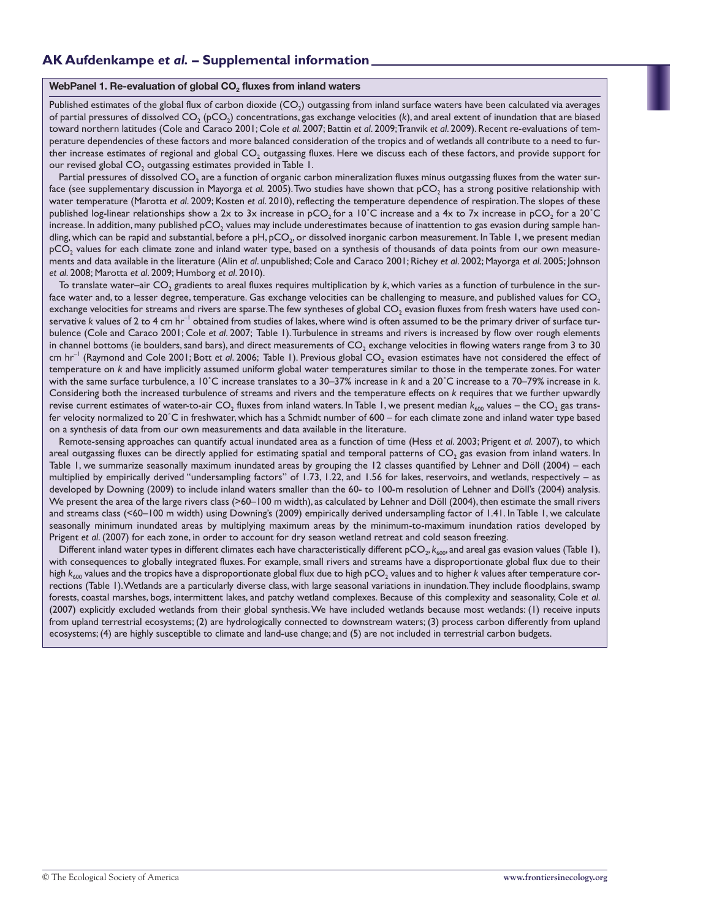#### WebPanel 1. Re-evaluation of global CO<sub>2</sub> fluxes from inland waters

Published estimates of the global flux of carbon dioxide  $(CO<sub>2</sub>)$  outgassing from inland surface waters have been calculated via averages of partial pressures of dissolved CO<sub>2</sub> (pCO<sub>2</sub>) concentrations, gas exchange velocities (k), and areal extent of inundation that are biased toward northern latitudes (Cole and Caraco 2001; Cole *et al*. 2007; Battin *et al*. 2009; Tranvik *et al*. 2009). Recent re-evaluations of temperature dependencies of these factors and more balanced consideration of the tropics and of wetlands all contribute to a need to further increase estimates of regional and global CO<sub>2</sub> outgassing fluxes. Here we discuss each of these factors, and provide support for our revised global CO<sub>2</sub> outgassing estimates provided in Table 1.

Partial pressures of dissolved CO<sub>2</sub> are a function of organic carbon mineralization fluxes minus outgassing fluxes from the water surface (see supplementary discussion in Mayorga et al. 2005). Two studies have shown that pCO<sub>2</sub> has a strong positive relationship with water temperature (Marotta *et al*. 2009; Kosten *et al*. 2010), reflecting the temperature dependence of respiration. The slopes of these published log-linear relationships show a 2x to 3x increase in pCO<sub>2</sub> for a 10°C increase and a 4x to 7x increase in pCO<sub>2</sub> for a 20°C increase. In addition, many published pCO<sub>2</sub> values may include underestimates because of inattention to gas evasion during sample handling, which can be rapid and substantial, before a pH, pCO<sub>2</sub>, or dissolved inorganic carbon measurement. In Table 1, we present median pCO<sub>2</sub> values for each climate zone and inland water type, based on a synthesis of thousands of data points from our own measurements and data available in the literature (Alin *et al*. unpublished; Cole and Caraco 2001; Richey *et al*. 2002; Mayorga *et al*. 2005; Johnson *et al*. 2008; Marotta *et al*. 2009; Humborg *et al*. 2010).

To translate water–air CO<sub>2</sub> gradients to areal fluxes requires multiplication by *k*, which varies as a function of turbulence in the surface water and, to a lesser degree, temperature. Gas exchange velocities can be challenging to measure, and published values for CO<sub>2</sub> exchange velocities for streams and rivers are sparse. The few syntheses of global CO<sub>2</sub> evasion fluxes from fresh waters have used conservative *k* values of 2 to 4 cm hr<sup>-1</sup> obtained from studies of lakes, where wind is often assumed to be the primary driver of surface turbulence (Cole and Caraco 2001; Cole *et al*. 2007; Table 1). Turbulence in streams and rivers is increased by flow over rough elements in channel bottoms (ie boulders, sand bars), and direct measurements of CO<sub>2</sub> exchange velocities in flowing waters range from 3 to 30 cm hr<sup>-1</sup> (Raymond and Cole 2001; Bott et al. 2006; Table 1). Previous global CO<sub>2</sub> evasion estimates have not considered the effect of temperature on *k* and have implicitly assumed uniform global water temperatures similar to those in the temperate zones. For water with the same surface turbulence, a 10˚C increase translates to a 30–37% increase in *k* and a 20˚C increase to a 70–79% increase in *k*. Considering both the increased turbulence of streams and rivers and the temperature effects on *k* requires that we further upwardly revise current estimates of water-to-air CO<sub>2</sub> fluxes from inland waters. In Table 1, we present median  $k_{600}$  values – the CO<sub>2</sub> gas transfer velocity normalized to 20˚C in freshwater, which has a Schmidt number of 600 – for each climate zone and inland water type based on a synthesis of data from our own measurements and data available in the literature.

Remote-sensing approaches can quantify actual inundated area as a function of time (Hess *et al*. 2003; Prigent *et al.* 2007), to which areal outgassing fluxes can be directly applied for estimating spatial and temporal patterns of CO<sub>2</sub> gas evasion from inland waters. In Table 1, we summarize seasonally maximum inundated areas by grouping the 12 classes quantified by Lehner and Döll (2004) – each multiplied by empirically derived "undersampling factors" of 1.73, 1.22, and 1.56 for lakes, reservoirs, and wetlands, respectively – as developed by Downing (2009) to include inland waters smaller than the 60- to 100-m resolution of Lehner and Döll's (2004) analysis. We present the area of the large rivers class (>60–100 m width), as calculated by Lehner and Döll (2004), then estimate the small rivers and streams class (<60–100 m width) using Downing's (2009) empirically derived undersampling factor of 1.41. In Table 1, we calculate seasonally minimum inundated areas by multiplying maximum areas by the minimum-to-maximum inundation ratios developed by Prigent *et al*. (2007) for each zone, in order to account for dry season wetland retreat and cold season freezing.

Different inland water types in different climates each have characteristically different pCO<sub>2</sub>,  $k_{600}$ , and areal gas evasion values (Table 1), with consequences to globally integrated fluxes. For example, small rivers and streams have a disproportionate global flux due to their high  $k_{600}$  values and the tropics have a disproportionate global flux due to high pCO<sub>2</sub> values and to higher *k* values after temperature corrections (Table 1). Wetlands are a particularly diverse class, with large seasonal variations in inundation. They include floodplains, swamp forests, coastal marshes, bogs, intermittent lakes, and patchy wetland complexes. Because of this complexity and seasonality, Cole *et al*. (2007) explicitly excluded wetlands from their global synthesis. We have included wetlands because most wetlands: (1) receive inputs from upland terrestrial ecosystems; (2) are hydrologically connected to downstream waters; (3) process carbon differently from upland ecosystems; (4) are highly susceptible to climate and land-use change; and (5) are not included in terrestrial carbon budgets.